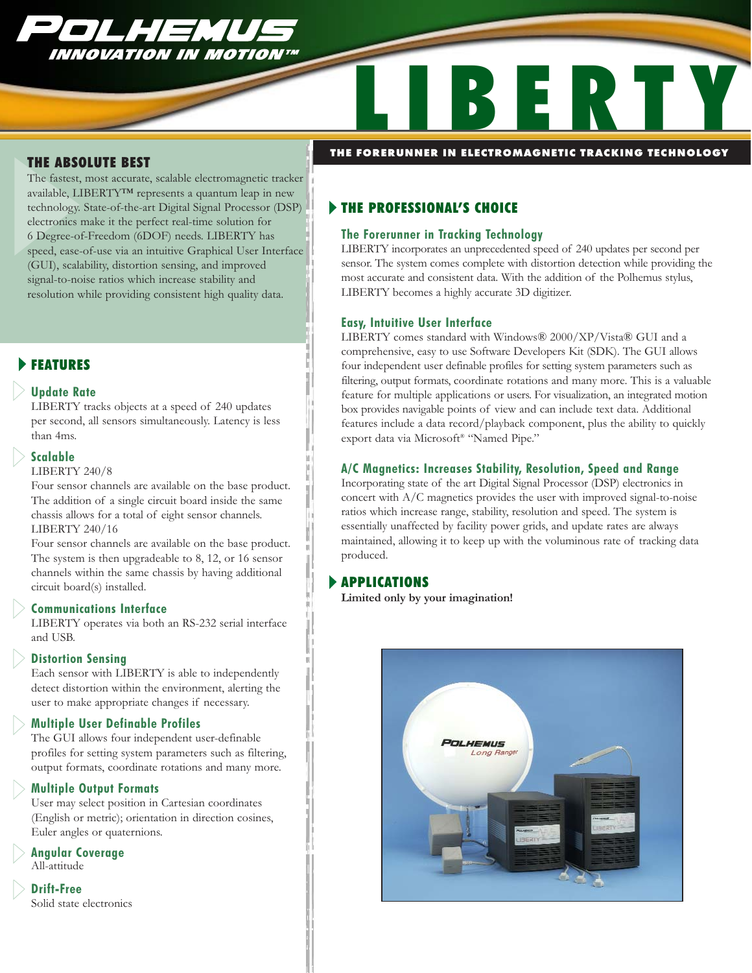

# LIBERTY **THE FORERUNNER IN ELECTROMAGNETIC TRACKING TECHNOLOGY**

#### THE ABSOLUTE BEST

The fastest, most accurate, scalable electromagnetic tracker available, LIBERTY™ represents a quantum leap in new technology. State-of-the-art Digital Signal Processor (DSP) electronics make it the perfect real-time solution for 6 Degree-of-Freedom (6DOF) needs. LIBERTY has speed, ease-of-use via an intuitive Graphical User Interface (GUI), scalability, distortion sensing, and improved signal-to-noise ratios which increase stability and resolution while providing consistent high quality data.

### **FEATURES**

#### **Update Rate**

LIBERTY tracks objects at a speed of 240 updates per second, all sensors simultaneously. Latency is less than 4ms.

#### **Scalable**

LIBERTY 240/8

Four sensor channels are available on the base product. The addition of a single circuit board inside the same chassis allows for a total of eight sensor channels. LIBERTY 240/16

Four sensor channels are available on the base product. The system is then upgradeable to 8, 12, or 16 sensor channels within the same chassis by having additional circuit board(s) installed.

#### **Communications Interface**

LIBERTY operates via both an RS-232 serial interface and USB.

#### **Distortion Sensing**

Each sensor with LIBERTY is able to independently detect distortion within the environment, alerting the user to make appropriate changes if necessary.

#### **Multiple User Definable Profiles**

The GUI allows four independent user-definable profiles for setting system parameters such as filtering, output formats, coordinate rotations and many more.

#### **Multiple Output Formats**

User may select position in Cartesian coordinates (English or metric); orientation in direction cosines, Euler angles or quaternions.

**Angular Coverage** All-attitude

**Drift-Free** Solid state electronics

#### **FIHE PROFESSIONAL'S CHOICE**

#### **The Forerunner in Tracking Technology**

LIBERTY incorporates an unprecedented speed of 240 updates per second per sensor. The system comes complete with distortion detection while providing the most accurate and consistent data. With the addition of the Polhemus stylus, LIBERTY becomes a highly accurate 3D digitizer.

#### **Easy, Intuitive User Interface**

LIBERTY comes standard with Windows® 2000/XP/Vista® GUI and a comprehensive, easy to use Software Developers Kit (SDK). The GUI allows four independent user definable profiles for setting system parameters such as filtering, output formats, coordinate rotations and many more. This is a valuable feature for multiple applications or users. For visualization, an integrated motion box provides navigable points of view and can include text data. Additional features include a data record/playback component, plus the ability to quickly export data via Microsoft® "Named Pipe."

#### **A/C Magnetics: Increases Stability, Resolution, Speed and Range**

Incorporating state of the art Digital Signal Processor (DSP) electronics in concert with A/C magnetics provides the user with improved signal-to-noise ratios which increase range, stability, resolution and speed. The system is essentially unaffected by facility power grids, and update rates are always maintained, allowing it to keep up with the voluminous rate of tracking data produced.

#### **APPLICATIONS**

**Limited only by your imagination!**